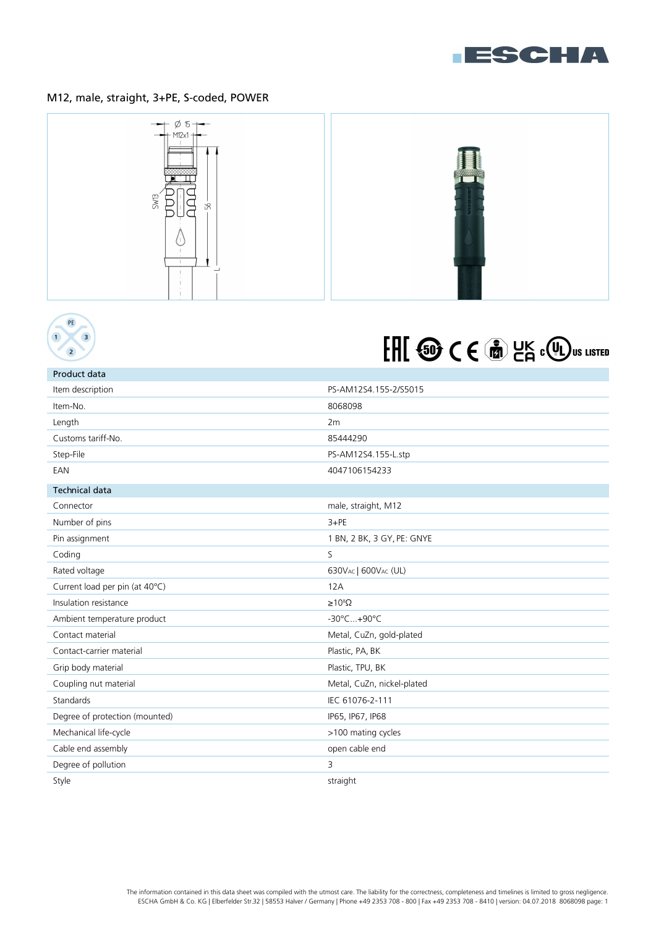

## M12, male, straight, 3+PE, S-coded, POWER





Product data

# FHI @ CE @ LK COU US LISTED

| Item description               | PS-AM12S4.155-2/S5015      |
|--------------------------------|----------------------------|
| Item-No.                       | 8068098                    |
| Length                         | 2m                         |
| Customs tariff-No.             | 85444290                   |
| Step-File                      | PS-AM12S4.155-L.stp        |
| EAN                            | 4047106154233              |
| <b>Technical data</b>          |                            |
| Connector                      | male, straight, M12        |
| Number of pins                 | $3+PE$                     |
| Pin assignment                 | 1 BN, 2 BK, 3 GY, PE: GNYE |
| Coding                         | S                          |
| Rated voltage                  | 630VAC   600VAC (UL)       |
| Current load per pin (at 40°C) | 12A                        |
| Insulation resistance          | $\geq 10^8 \Omega$         |
| Ambient temperature product    | -30°C+90°C                 |
| Contact material               | Metal, CuZn, gold-plated   |
| Contact-carrier material       | Plastic, PA, BK            |
| Grip body material             | Plastic, TPU, BK           |
| Coupling nut material          | Metal, CuZn, nickel-plated |
| Standards                      | IEC 61076-2-111            |
| Degree of protection (mounted) | IP65, IP67, IP68           |
| Mechanical life-cycle          | >100 mating cycles         |
| Cable end assembly             | open cable end             |
| Degree of pollution            | 3                          |
| Style                          | straight                   |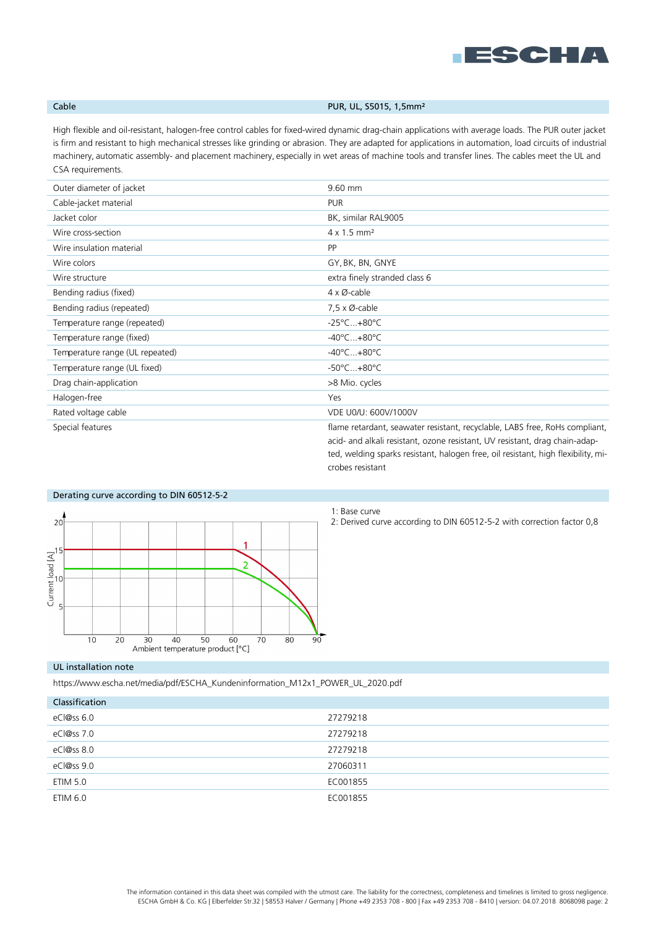

## Cable **Cable Cable PUR, UL, S5015, 1,5mm**<sup>2</sup>

High flexible and oil-resistant, halogen-free control cables for fixed-wired dynamic drag-chain applications with average loads. The PUR outer jacket is firm and resistant to high mechanical stresses like grinding or abrasion. They are adapted for applications in automation, load circuits of industrial machinery, automatic assembly- and placement machinery, especially in wet areas of machine tools and transfer lines. The cables meet the UL and CSA requirements.

| Outer diameter of jacket        | 9.60 mm                                                                                                                                                                                                                                         |
|---------------------------------|-------------------------------------------------------------------------------------------------------------------------------------------------------------------------------------------------------------------------------------------------|
| Cable-jacket material           | <b>PUR</b>                                                                                                                                                                                                                                      |
| Jacket color                    | BK, similar RAL9005                                                                                                                                                                                                                             |
| Wire cross-section              | $4 \times 1.5$ mm <sup>2</sup>                                                                                                                                                                                                                  |
| Wire insulation material        | <b>PP</b>                                                                                                                                                                                                                                       |
| Wire colors                     | GY, BK, BN, GNYE                                                                                                                                                                                                                                |
| Wire structure                  | extra finely stranded class 6                                                                                                                                                                                                                   |
| Bending radius (fixed)          | $4 \times \emptyset$ -cable                                                                                                                                                                                                                     |
| Bending radius (repeated)       | $7.5 \times \emptyset$ -cable                                                                                                                                                                                                                   |
| Temperature range (repeated)    | $-25^{\circ}$ C $+80^{\circ}$ C                                                                                                                                                                                                                 |
| Temperature range (fixed)       | $-40^{\circ}$ C $+80^{\circ}$ C                                                                                                                                                                                                                 |
| Temperature range (UL repeated) | $-40^{\circ}$ C $+80^{\circ}$ C                                                                                                                                                                                                                 |
| Temperature range (UL fixed)    | $-50^{\circ}$ C $+80^{\circ}$ C                                                                                                                                                                                                                 |
| Drag chain-application          | >8 Mio. cycles                                                                                                                                                                                                                                  |
| Halogen-free                    | Yes                                                                                                                                                                                                                                             |
| Rated voltage cable             | VDE U0/U: 600V/1000V                                                                                                                                                                                                                            |
| Special features                | flame retardant, seawater resistant, recyclable, LABS free, RoHs compliant,<br>acid- and alkali resistant, ozone resistant, UV resistant, drag chain-adap-<br>ted, welding sparks resistant, halogen free, oil resistant, high flexibility, mi- |



1: Base curve

crobes resistant

2: Derived curve according to DIN 60512-5-2 with correction factor 0,8

### UL installation note

https://www.escha.net/media/pdf/ESCHA\_Kundeninformation\_M12x1\_POWER\_UL\_2020.pdf

| Classification |          |
|----------------|----------|
| eCl@ss 6.0     | 27279218 |
| eCl@ss 7.0     | 27279218 |
| eCl@ss 8.0     | 27279218 |
| eCl@ss 9.0     | 27060311 |
| ETIM 5.0       | EC001855 |
| ETIM 6.0       | EC001855 |